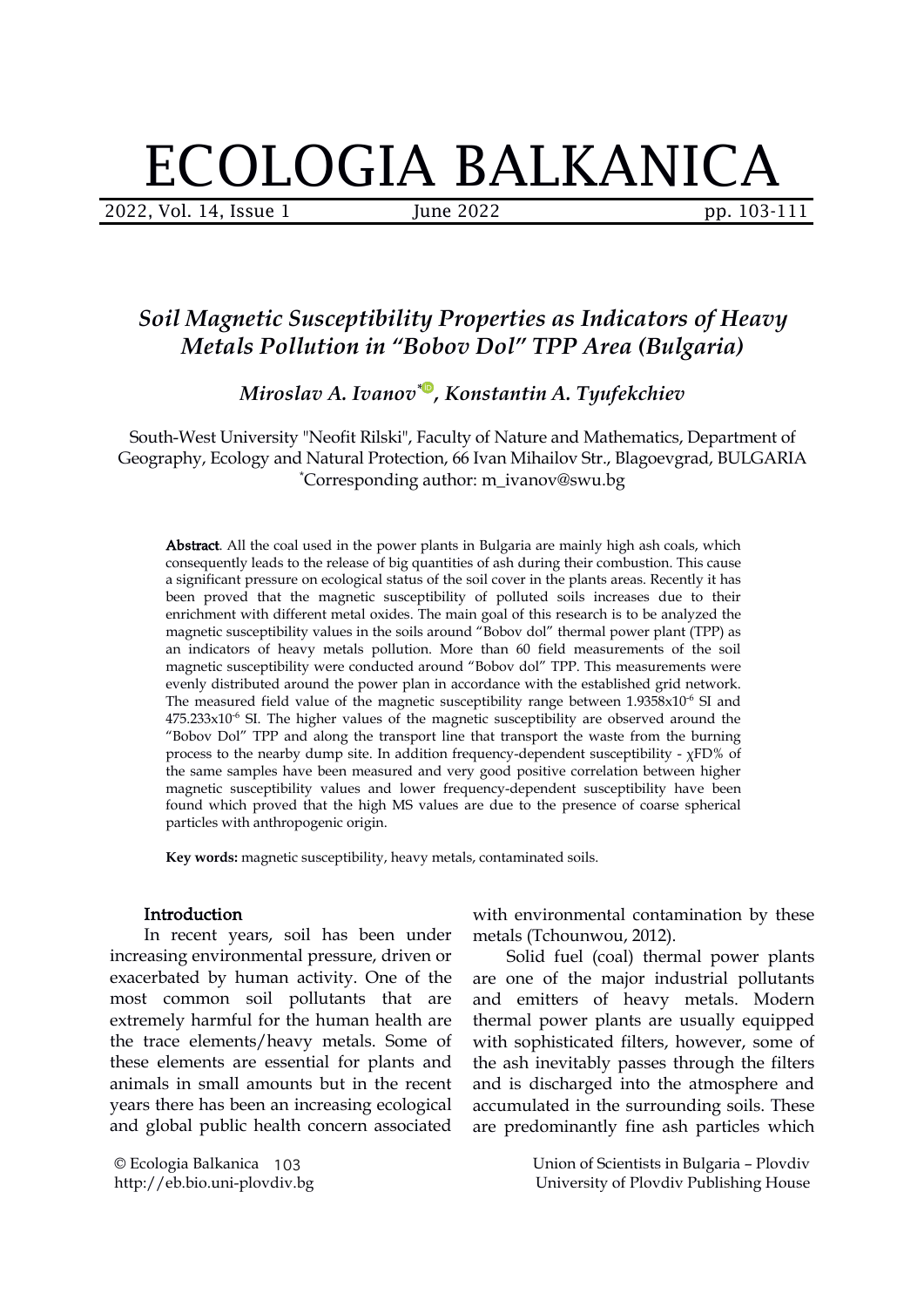# ECOLOGIA BALKANICA

2022, Vol. 14, Issue 1 June 2022 pp. 103-111

## *Soil Magnetic Susceptibility Properties as Indicators of Heavy Metals Pollution in "Bobov Dol" TPP Area (Bulgaria)*

 $Miroslav\ A$ . Ivanov[\\*](https://orcid.org/0000-0002-2347-8029)®, Konstantin A. Tyufekchiev

South-West University "Neofit Rilski", Faculty of Nature and Mathematics, Department of Geography, Ecology and Natural Protection, 66 Ivan Mihailov Str., Blagoevgrad, BULGARIA \*Corresponding author: m\_ivanov@swu.bg

Abstract. All the coal used in the power plants in Bulgaria are mainly high ash coals, which consequently leads to the release of big quantities of ash during their combustion. This cause a significant pressure on ecological status of the soil cover in the plants areas. Recently it has been proved that the magnetic susceptibility of polluted soils increases due to their enrichment with different metal oxides. The main goal of this research is to be analyzed the magnetic susceptibility values in the soils around "Bobov dol" thermal power plant (TPP) as an indicators of heavy metals pollution. More than 60 field measurements of the soil magnetic susceptibility were conducted around "Bobov dol" TPP. This measurements were evenly distributed around the power plan in accordance with the established grid network. The measured field value of the magnetic susceptibility range between  $1.9358\times10^{6}$  SI and  $475.233x10^{-6}$  SI. The higher values of the magnetic susceptibility are observed around the "Bobov Dol" TPP and along the transport line that transport the waste from the burning process to the nearby dump site. In addition frequency-dependent susceptibility - χFD% of the same samples have been measured and very good positive correlation between higher magnetic susceptibility values and lower frequency-dependent susceptibility have been found which proved that the high MS values are due to the presence of coarse spherical particles with anthropogenic origin.

**Key words:** magnetic susceptibility, heavy metals, contaminated soils.

#### **Introduction**

In recent years, soil has been under increasing environmental pressure, driven or exacerbated by human activity. One of the most common soil pollutants that are extremely harmful for the human health are the trace elements/heavy metals. Some of these elements are essential for plants and animals in small amounts but in the recent years there has been an increasing ecological and global public health concern associated

© Ecologia Balkanica 103 http://eb.bio.uni-plovdiv.bg

with environmental contamination by these metals (Tchounwou, 2012).

Solid fuel (coal) thermal power plants are one of the major industrial pollutants and emitters of heavy metals. Modern thermal power plants are usually equipped with sophisticated filters, however, some of the ash inevitably passes through the filters and is discharged into the atmosphere and accumulated in the surrounding soils. These are predominantly fine ash particles which

> Union of Scientists in Bulgaria – Plovdiv University of Plovdiv Publishing House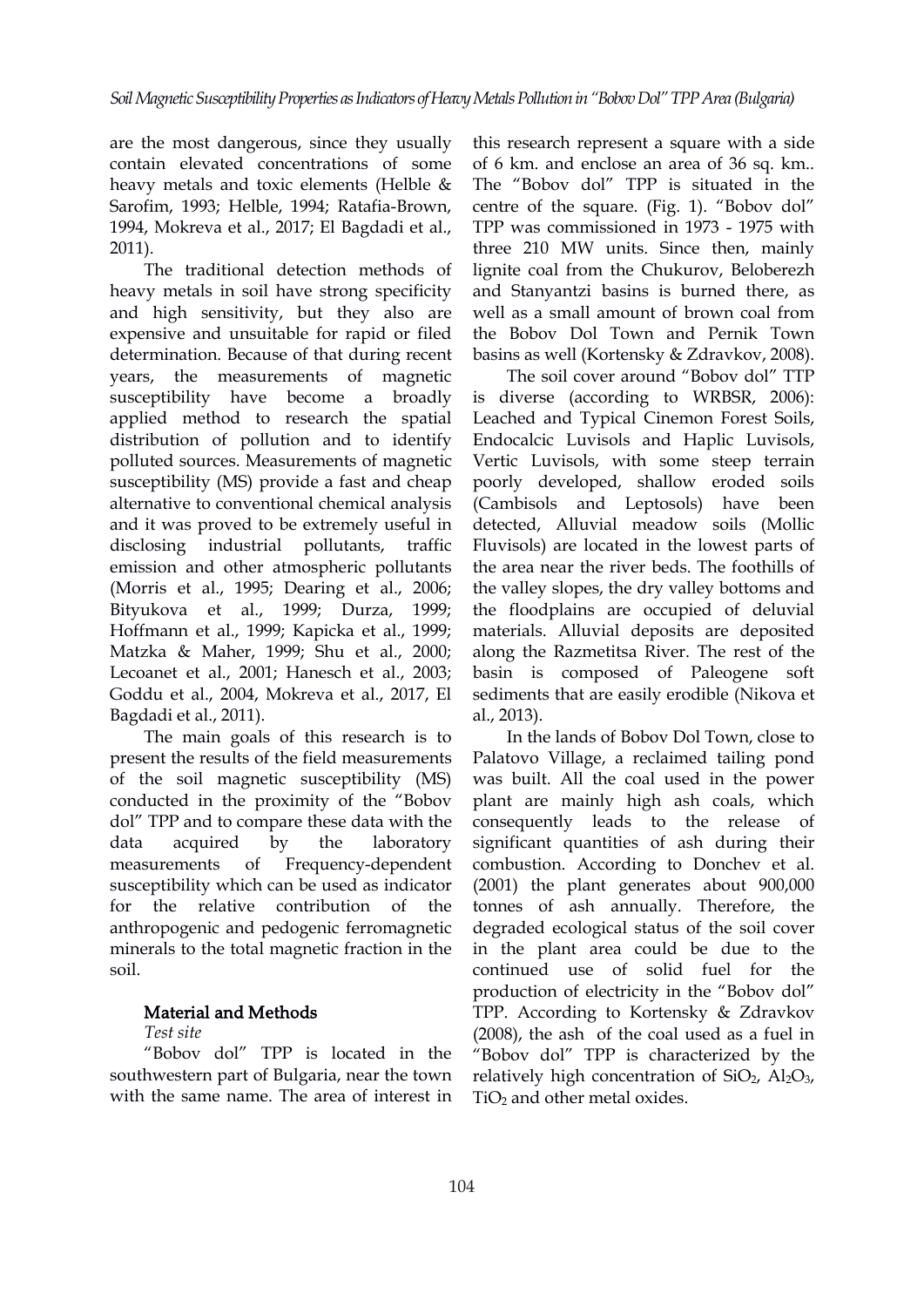are the most dangerous, since they usually contain elevated concentrations of some heavy metals and toxic elements (Helble & Sarofim, 1993; Helble, 1994; Ratafia-Brown, 1994, Mokreva et al., 2017; El Bagdadi et al.,

2011).<br>The traditional detection methods of heavy metals in soil have strong specificity and high sensitivity, but they also are expensive and unsuitable for rapid or filed determination. Because of that during recent years, the measurements of magnetic susceptibility have become a bro[ad](https://orcid.org/0000-0002-2347-8029)ly applied method to research the spatial distribution of pollution and to identify polluted sources. Measurements of magnetic susceptibility (MS) provide a fast and cheap alternative to conventional chemical analysis and it was proved to be extremely useful in disclosing industrial pollutants, traffic emission and other atmospheric pollutants (Morris et al., 1995; Dearing et al., 2006; Bityukova et al., 1999; Durza, 1999; Hoffmann et al., 1999; Kapicka et al., 1999; Matzka & Maher, 1999; Shu et al., 2000; Lecoanet et al., 2001; Hanesch et al., 2003; Goddu et al., 2004, Mokreva et al., 2017, El Bagdadi et al., 2011).

The main goals of this research is to present the results of the field measurements of the soil magnetic susceptibility (MS) conducted in the proximity of the "Bobov dol" TPP and to compare these data with the measurements of Frequency-dependent susceptibility which can be used as indicator anthropogenic and pedogenic ferromagnetic minerals to the total magnetic fraction in the soil.

#### Material and Methods

#### *Test site*

"Bobov dol" TPP is located in the southwestern part of Bulgaria, near the town with the same name. The area of interest in

this research represent a square with a side of 6 km. and enclose an area of 36 sq. km.. The "Bobov dol" TPP is situated in the centre of the square. (Fig. 1). "Bobov dol" TPP was commissioned in 1973 - 1975 with three 210 MW units. Since then, mainly lignite coal from the Chukurov, Beloberezh and Stanyantzi basins is burned there, as well as a small amount of brown coal from the Bobov Dol Town and Pernik Town basins as well (Kortensky & Zdravkov, 2008).

The soil cover around "Bobov dol" TTP is diverse (according to WRBSR, 2006): Leached and Typical Cinemon Forest Soils, Endocalcic Luvisols and Haplic Luvisols, Vertic Luvisols, with some steep terrain poorly developed, shallow eroded soils (Cambisols and Leptosols) have been detected, Alluvial meadow soils (Mollic Fluvisols) are located in the lowest parts of the area near the river beds. The foothills of the valley slopes, the dry valley bottoms and the floodplains are occupied of deluvial materials. Alluvial deposits are deposited along the Razmetitsa River. The rest of the basin is composed of Paleogene soft sediments that are easily erodible (Nikova et al., 2013).

data acquired by the laboratory significant quantities of ash during their for the relative contribution of the tonnes of ash annually. Therefore, the In the lands of Bobov Dol Town, close to Palatovo Village, a reclaimed tailing pond was built. All the coal used in the power plant are mainly high ash coals, which consequently leads to the release of combustion. According to Donchev et al. (2001) the plant generates about 900,000 degraded ecological status of the soil cover in the plant area could be due to the continued use of solid fuel for the production of electricity in the "Bobov dol" TPP. According to Kortensky & Zdravkov  $(2008)$ , the ash of the coal used as a fuel in "Bobov dol" TPP is characterized by the relatively high concentration of  $SiO<sub>2</sub>$ ,  $Al<sub>2</sub>O<sub>3</sub>$ ,  $TiO<sub>2</sub>$  and other metal oxides.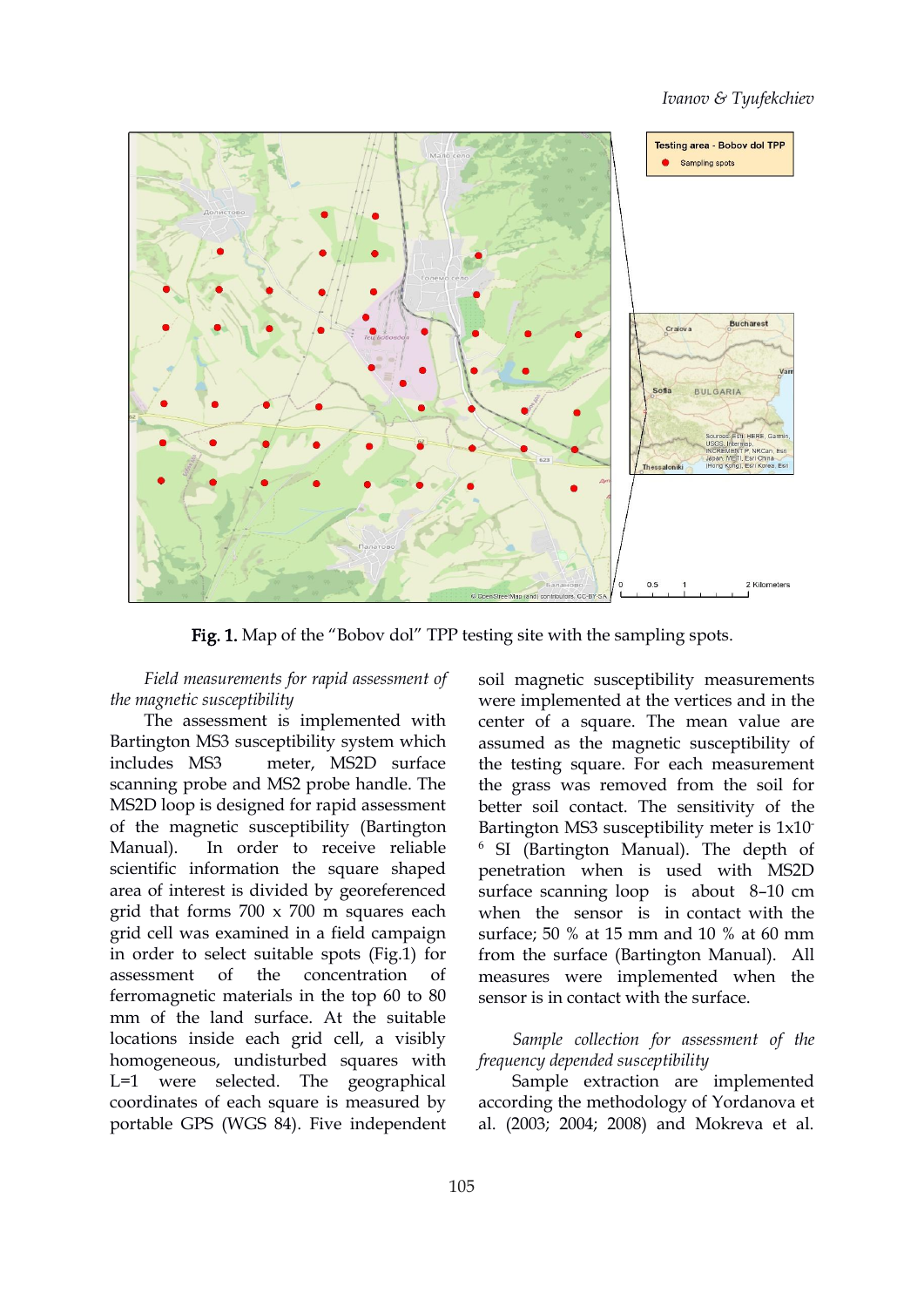#### *Ivanov & Tyufekchiev*



Fig. 1. Map of the "Bobov dol" TPP testing site with the sampling spots.

*Field measurements for rapid assessment of the magnetic susceptibility*

The assessment is implemented with Bartington MS3 susceptibility system which includes MS3 meter, MS2D surface scanning probe and MS2 probe handle. The MS2D loop is designed for rapid assessment of the magnetic susceptibility (Bartington Manual). In order to receive reliable scientific information the square shaped area of interest is divided by georeferenced grid that forms 700 x 700 m squares each grid cell was examined in a field campaign in order to select suitable spots (Fig.1) for ferromagnetic materials in the top 60 to 80 mm of the land surface. At the suitable locations inside each grid cell, a visibly homogeneous, undisturbed squares with L=1 were selected. The geographical coordinates of each square is measured by portable GPS (WGS 84). Five independent

assessment of the concentration of measures were implemented when the soil magnetic susceptibility measurements were implemented at the vertices and in the center of a square. The mean value are assumed as the magnetic susceptibility of the testing square. For each measurement the grass was removed from the soil for better soil contact. The sensitivity of the Bartington MS3 susceptibility meter is 1x10 e a contra a contra a contra a contra a contra a contra a contra a contra a contra a contra a contra a contra <br>Contra a contra a contra a contra a contra a contra a contra a contra a contra a contra a contra a contra a co <sup>6</sup> SI (Bartington Manual). The depth of penetration when is used with MS2D surface scanning loop is about 8–10 cm when the sensor is in contact with the surface; 50 % at 15 mm and 10 % at 60 mm from the surface (Bartington Manual). All sensor is in contact with the surface.

> *Sample collection for assessment of the frequency depended susceptibility*

> Sample extraction are implemented according the methodology of Yordanova et al. (2003; 2004; 2008) and Mokreva et al.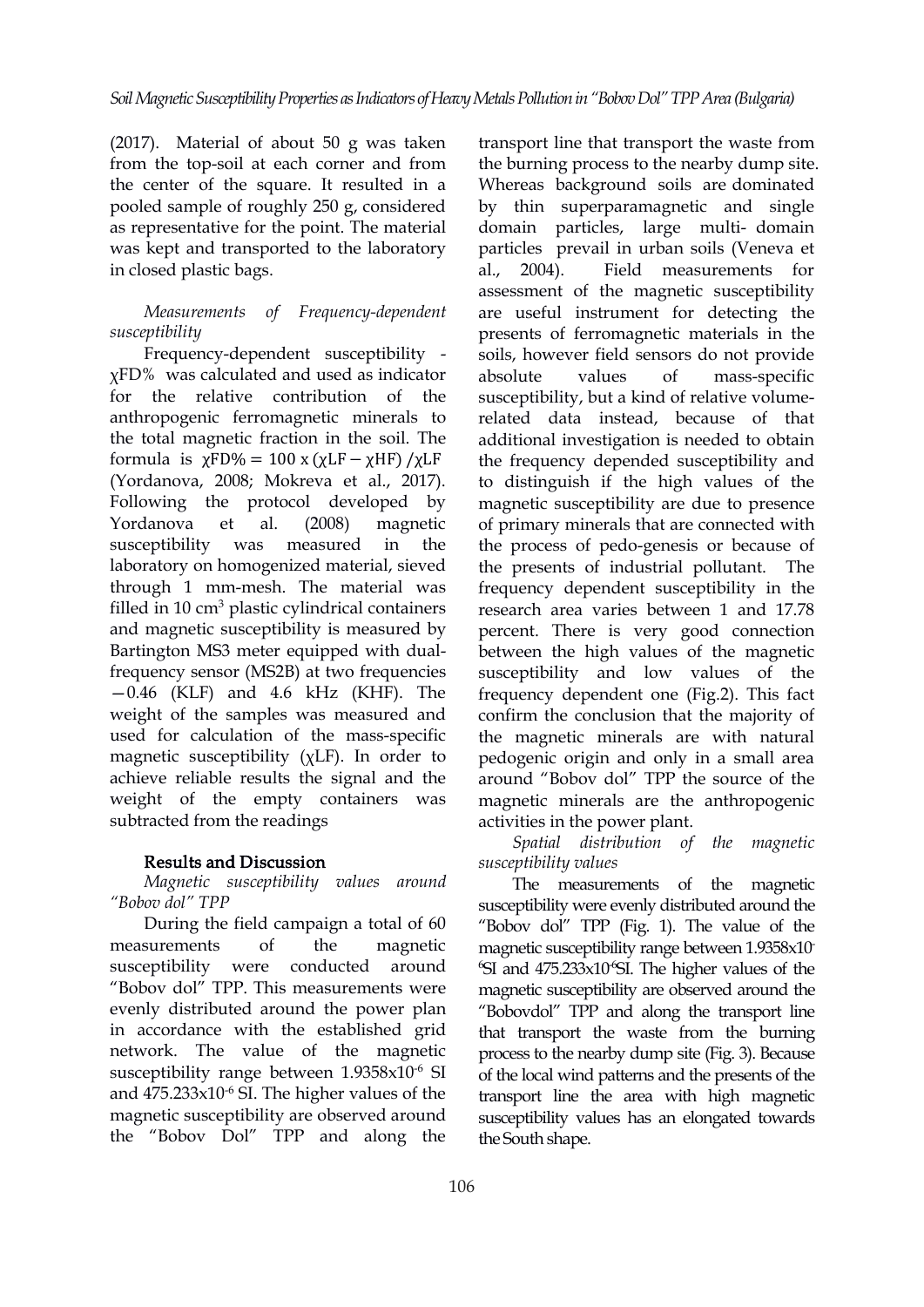(2017). Material of about 50 g was taken from the top-soil at each corner and from the center of the square. It resulted in a pooled sample of roughly 250 g, considered as representative for the point. The material was kept and transported to the laboratory in closed plastic bags.

#### *Measurements of Frequency-dependent susceptibility*

Frequency-dependent susceptibility χFD% was calculated and used asindicator for the relative contribution of [th](https://orcid.org/0000-0002-2347-8029)e anthropogenic ferromagnetic minerals to the total magnetic fraction in the soil. The formula is  $\chi$ FD% = 100 x ( $\chi$ LF –  $\chi$ HF) / $\chi$ LF (Yordanova, 2008; Mokreva et al., 2017). Following the protocol developed by laboratory on homogenized material, sieved through 1 mm-mesh. The material was filled in 10 cm<sup>3</sup> plastic cylindrical containers and magnetic susceptibility is measured by Bartington MS3 meter equipped with dualfrequency sensor (MS2B) at two frequencies  $-0.46$  (KLF) and  $4.6$  kHz (KHF). The weight of the samples was measured and used for calculation of the mass-specific magnetic susceptibility (χLF). In order to achieve reliable results the signal and the weight of the empty containers was subtracted from the readings

#### Results and Discussion

*Magnetic susceptibility values around "Bobov dol" TPP*

During the field campaign a total of 60 measurements of the magnetic magnetic susceptibility range between 1.9358x10 susceptibility were conducted around <sup>6</sup>SI and 475.233x10<sup>6</sup>SI. The higher values of the "Bobov dol" TPP. This measurements were evenly distributed around the power plan in accordance with the established grid network. The value of the magnetic susceptibility range between 1.9358x10<sup>-6</sup> SI and  $475.233 \times 10^{-6}$  SI. The higher values of the transport line the magnetic susceptibility are observed around the "Bobov Dol" TPP and along the

Yordanova et al. (2008) magnetic of primary minerals that are connected with susceptibility was measured in the the process of pedo-genesis or because of transport line that transport the waste from the burning process to the nearby dump site. Whereas background soils are dominated by thin superparamagnetic and single domain particles, large multi- domain particles prevail in urban soils (Veneva et al., 2004). Field measurements for assessment of the magnetic susceptibility are useful instrument for detecting the presents of ferromagnetic materials in the soils, however field sensors do not provide values of mass-specific susceptibility, but a kind of relative volume related data instead, because of that additional investigation is needed to obtain the frequency depended susceptibility and to distinguish if the high values of the magnetic susceptibility are due to presence the presents of industrial pollutant. The frequency dependent susceptibility in the research area varies between 1 and 17.78 percent. There is very good connection between the high values of the magnetic susceptibility and low values of the frequency dependent one (Fig.2). This fact confirm the conclusion that the majority of the magnetic minerals are with natural pedogenic origin and only in a small area around "Bobov dol" TPP the source of the magnetic minerals are the anthropogenic activities in the power plant.

> *Spatial distribution of the magnetic susceptibility values*

-6 SI of the local wind patternsand the presents of the The measurements of the magnetic susceptibility were evenly distributed around the "Bobov dol" TPP (Fig. 1). The value of the magnetic susceptibility are observed around the "Bobovdol" TPP and along the transport line that transport the waste from the burning process to the nearby dump site (Fig. 3). Because transport line the area with high magnetic susceptibility values has an elongated towards the South shape.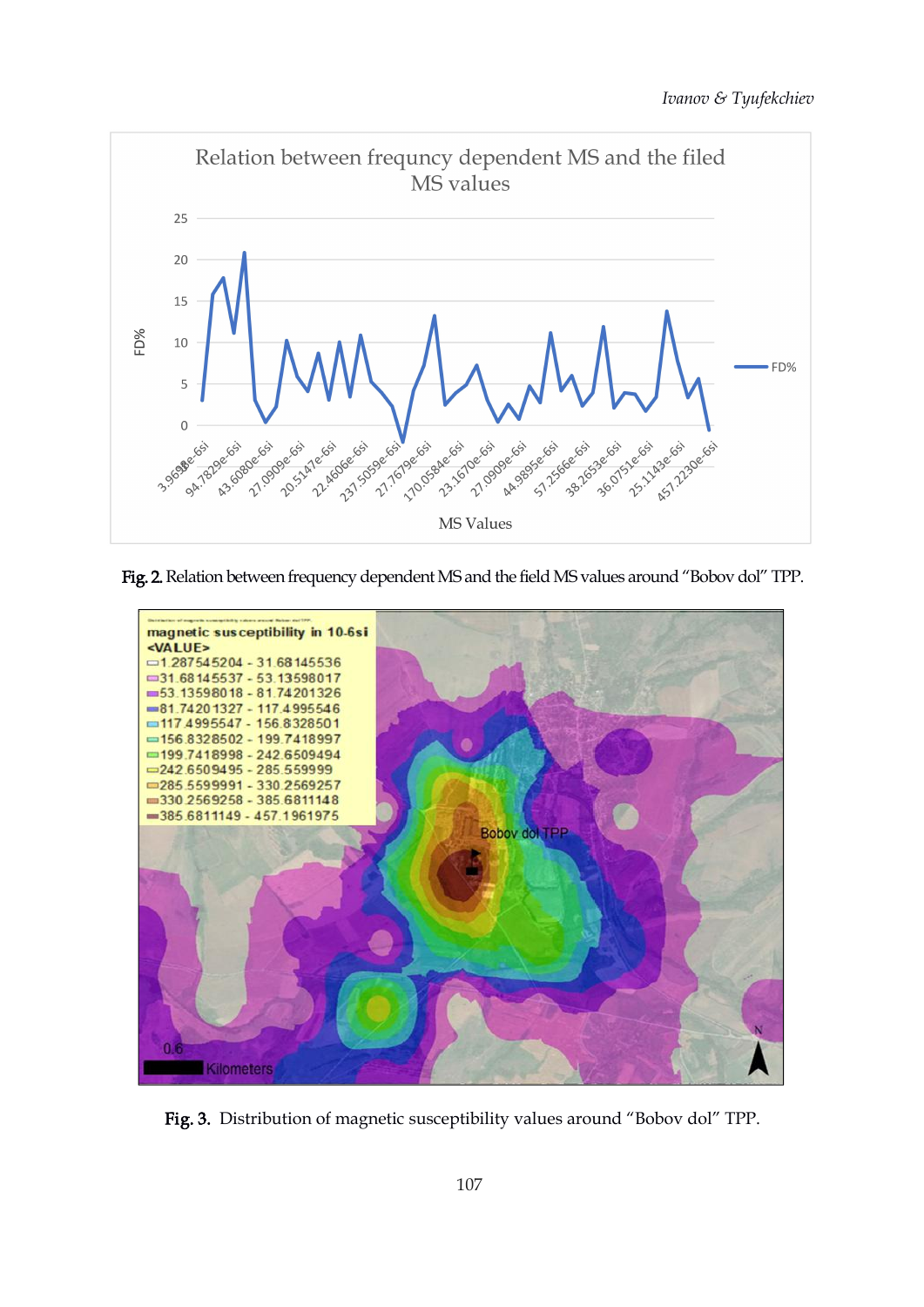

Fig. 2. Relation between frequency dependent MS and the field MS values around "Bobov dol" TPP.



Fig. 3. Distribution of magnetic susceptibility values around "Bobov dol" TPP.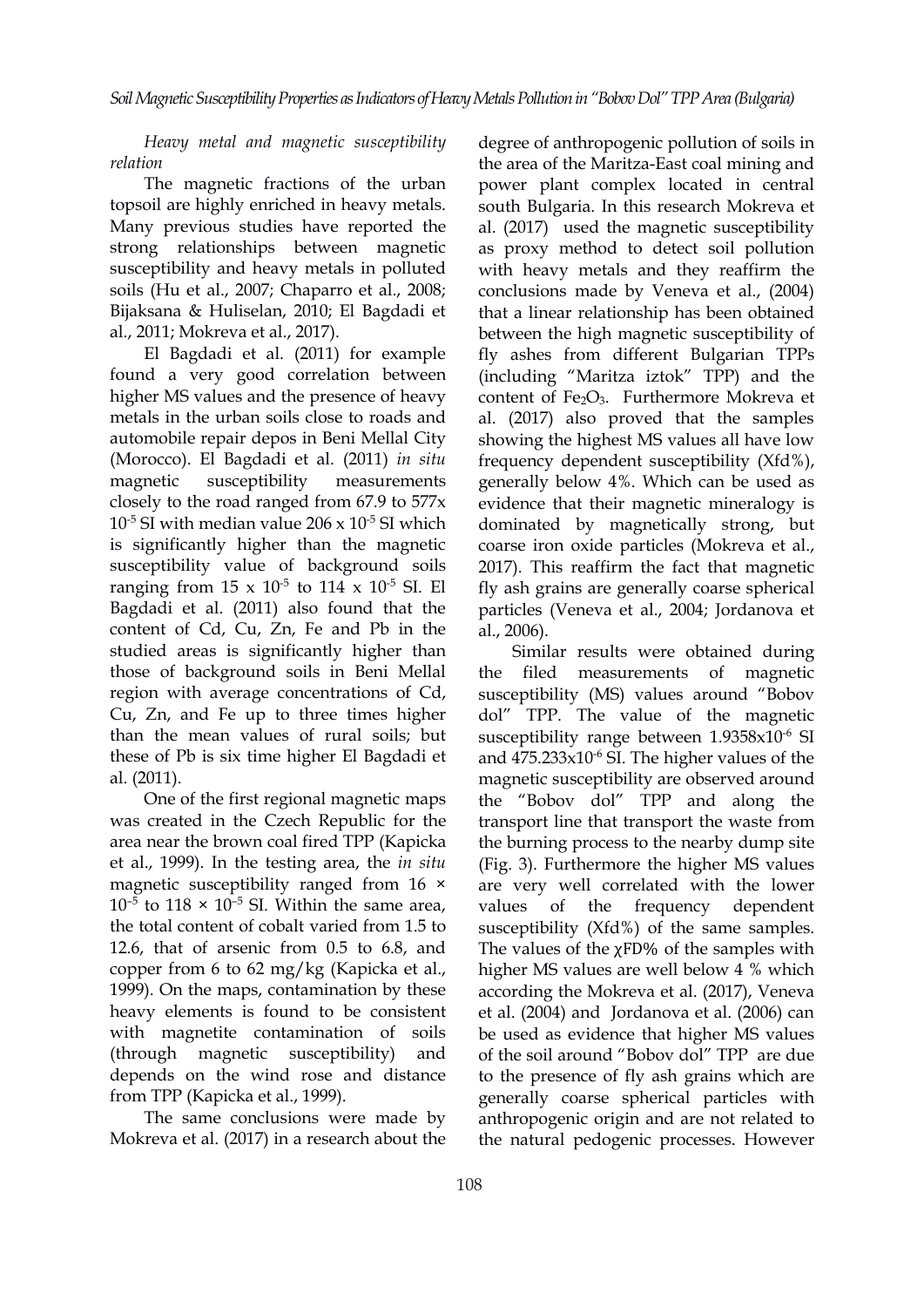*Heavy metal and magnetic susceptibility relation*

The magnetic fractions of the urban topsoil are highly enriched in heavy metals. Many previous studies have reported the strong relationships between magnetic susceptibility and heavy metals in polluted soils (Hu et al., 2007; Chaparro et al., 2008; Bijaksana & Huliselan, 2010; El Bagdadi et al., 2011; Mokreva et al., 2017).

El Bagdadi et al. (2011) for example found a very good correlation between higher MS values and the presence of he[av](https://orcid.org/0000-0002-2347-8029)y metals in the urban soils close to roads and automobile repair depos in Beni Mellal City (Morocco). El Bagdadi et al. (2011) *in situ* magnetic susceptibility measurements closely to the road ranged from 67.9 to 577x  $10^{-5}$  SI with median value 206 x  $10^{-5}$  SI which domin is significantly higher than the magnetic susceptibility value of background soils ranging from  $15 \times 10^{-5}$  to  $114 \times 10^{-5}$  SI. El fly ash gi Bagdadi et al. (2011) also found that the content of Cd, Cu, Zn, Fe and Pb in the studied areas is significantly higher than those of background soils in Beni Mellal region with average concentrations of Cd, Cu, Zn, and Fe up to three times higher than the mean values of rural soils; but these of Pb is six time higher El Bagdadi et al. (2011).

One of the first regional magnetic maps was created in the Czech Republic for the area near the brown coal fired TPP (Kapicka et al., 1999). In the testing area, the *in situ* magnetic susceptibility ranged from 16 ×  $10^{-5}$  to  $118 \times 10^{-5}$  SI. Within the same area, values o the total content of cobalt varied from 1.5 to susceptibility (Xfd%) of the same samples. 12.6, that of arsenic from 0.5 to 6.8, and copper from 6 to 62 mg/kg (Kapicka et al., 1999). On the maps, contamination by these heavy elements is found to be consistent with magnetite contamination of soils depends on the wind rose and distance from TPP (Kapicka et al., 1999).

The same conclusions were made by Mokreva et al. (2017) in a research about the

-5 SI which dominated by magnetically strong, but <sup>-5</sup> SI. El fly ash grains are generally coarse spherical degree of anthropogenic pollution of soils in the area of the Maritza-East coal mining and power plant complex located in central south Bulgaria. In this research Mokreva et al. (2017) used the magnetic susceptibility as proxy method to detect soil pollution with heavy metals and they reaffirm the conclusions made by Veneva et al., (2004) that a linear relationship has been obtained between the high magnetic susceptibility of fly ashes from different Bulgarian TPPs (including "Maritza iztok" TPP) and the content of Fe<sub>2</sub>O<sub>3</sub>. Furthermore Mokreva et al. (2017) also proved that the samples showing the highest MS values all have low frequency dependent susceptibility (Xfd%), generally below 4%. Which can be used as evidence that their magnetic mineralogy is coarse iron oxide particles (Mokreva et al., 2017). This reaffirm the fact that magnetic particles (Veneva et al., 2004; Jordanova et al., 2006).

(through magnetic susceptibility) and of the soil around "Bobov dol" TPP are due Similar results were obtained during filed measurements of magnetic susceptibility (MS) values around "Bobov dol" TPP. The value of the magnetic susceptibility range between 1.9358x10 -6 SI and 475.233x10<sup>-6</sup> SI. The higher values of the magnetic susceptibility are observed around the "Bobov dol" TPP and along the transport line that transport the waste from the burning process to the nearby dump site (Fig. 3). Furthermore the higher MS values are very well correlated with the lower values of the frequency dependent The values of the  $\chi$ FD% of the samples with higher MS values are well below 4 % which according the Mokreva et al. (2017), Veneva et al. (2004) and Jordanova et al. (2006) can be used as evidence that higher MS values to the presence of fly ash grains which are generally coarse spherical particles with anthropogenic origin and are not related to the natural pedogenic processes. However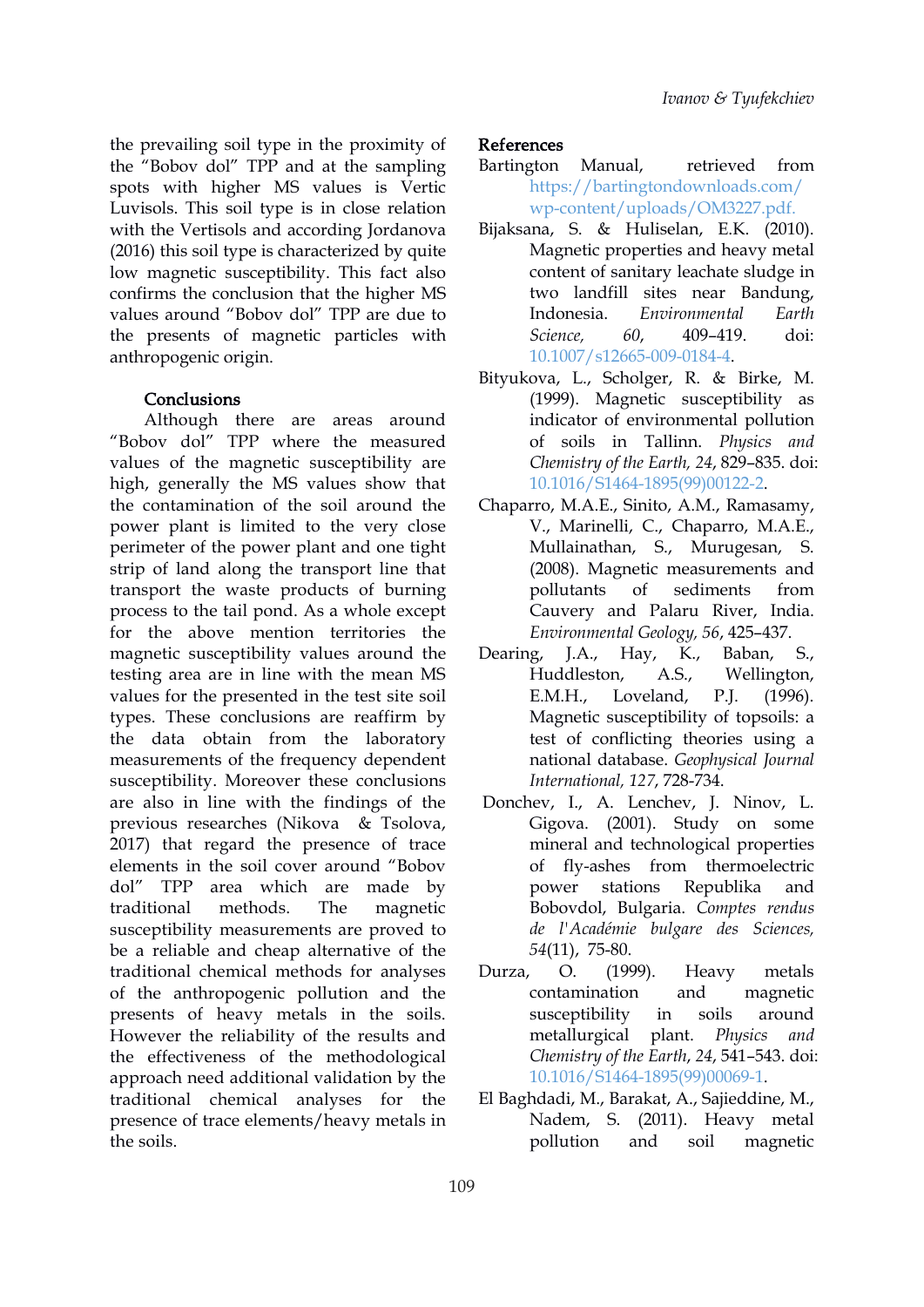the prevailing soil type in the proximity of the "Bobov dol" TPP and at the sampling spots with higher MS values is Vertic Luvisols. This soil type is in close relation with the Vertisols and according Jordanova (2016) this soil type is characterized by quite low magnetic susceptibility. This fact also confirms the conclusion that the higher MS values around "Bobov dol" TPP are due to the presents of magnetic particles with Science, 60, anthropogenic origin.

#### **Conclusions**

Although there are areas around "Bobov dol" TPP where the measured values of the magnetic susceptibility are high, generally the MS values show that the contamination of the soil around the power plant is limited to the very close perimeter of the power plant and one tight strip of land along the transport line that transport the waste products of burning process to the tail pond. As a whole except for the above mention territories the magnetic susceptibility values around the Dearing, J.A., testing area are in line with the mean MS values for the presented in the test site soil E.M.H., types. These conclusions are reaffirm by the data obtain from the laboratory measurements of the frequency dependent susceptibility. Moreover these conclusions are also in line with the findings of the previous researches (Nikova & Tsolova, 2017) that regard the presence of trace elements in the soil cover around "Bobov dol" TPP area which are made by power stations traditional methods. The magnetic susceptibility measurements are proved to be a reliable and cheap alternative of the traditional chemical methods for analyses of the anthropogenic pollution and the presents of heavy metals in the soils. However the reliability of the results and the effectiveness of the methodological approach need additional validation by the traditional chemical analyses for the presence of trace elements/heavy metals in the soils.

### References

- Bartington Manual, retrieved from [https://bartingtondownloads.com/](https://bartingtondownloads.com/wp-content/uploads/OM3227.pdf) wp-content/uploads/OM3227.pdf.
- Bijaksana, S. & Huliselan, E.K. (2010). Magnetic properties and heavy metal content of sanitary leachate sludge in two landfill sites near Bandung, Indonesia. *Environmental Earth Science, 60*, 409–419. doi: [10.1007/s12665-009-0184-4.](https://doi.org/10.1007/s12665-009-0184-4)
- Bityukova, L., Scholger, R. & Birke, M. (1999). Magnetic susceptibility as indicator of environmental pollution of soils in Tallinn. *Physics and Chemistry of the Earth, 24*, 829–835. doi: [10.1016/S1464-1895\(99\)00122-2](https://doi.org/10.1016/S1464-1895(99)00122-2).
- Chaparro, M.A.E., Sinito, A.M., Ramasamy, V., Marinelli, C., Chaparro, M.A.E., Mullainathan, S., Murugesan, S. (2008). Magnetic measurements and pollutants of sediments from Cauvery and Palaru River, India.*Environmental Geology, 56*, 425–437.
- Hay, K., Baban, S., A.S., Wellington, Loveland, P.J. (1996). Magnetic susceptibility of topsoils: a test of conflicting theories using a national database. *Geophysical Journal International, 127*, 728-734.
- Donchev, I., A. Lenchev, J. Ninov, L. Gigova. (2001). Study on some mineral and technological properties of fly-ashes from thermoelectric Republika and Bobovdol, Bulgaria. *Comptes rendus de l'Académie bulgare des Sciences, 54*(11), 75-80.
- $(1999)$ . Heavy metals contamination and magnetic susceptibility in soils around metallurgical plant. *Physics and Chemistry of the Earth*, *24*, 541–543. doi: [10.1016/S1464-1895\(99\)00069-1](https://doi.org/10.1016/S1464-1895(99)00069-1).
- El Baghdadi, M., Barakat, A., Sajieddine, M., Nadem, S. (2011). Heavy metal pollution and soil magnetic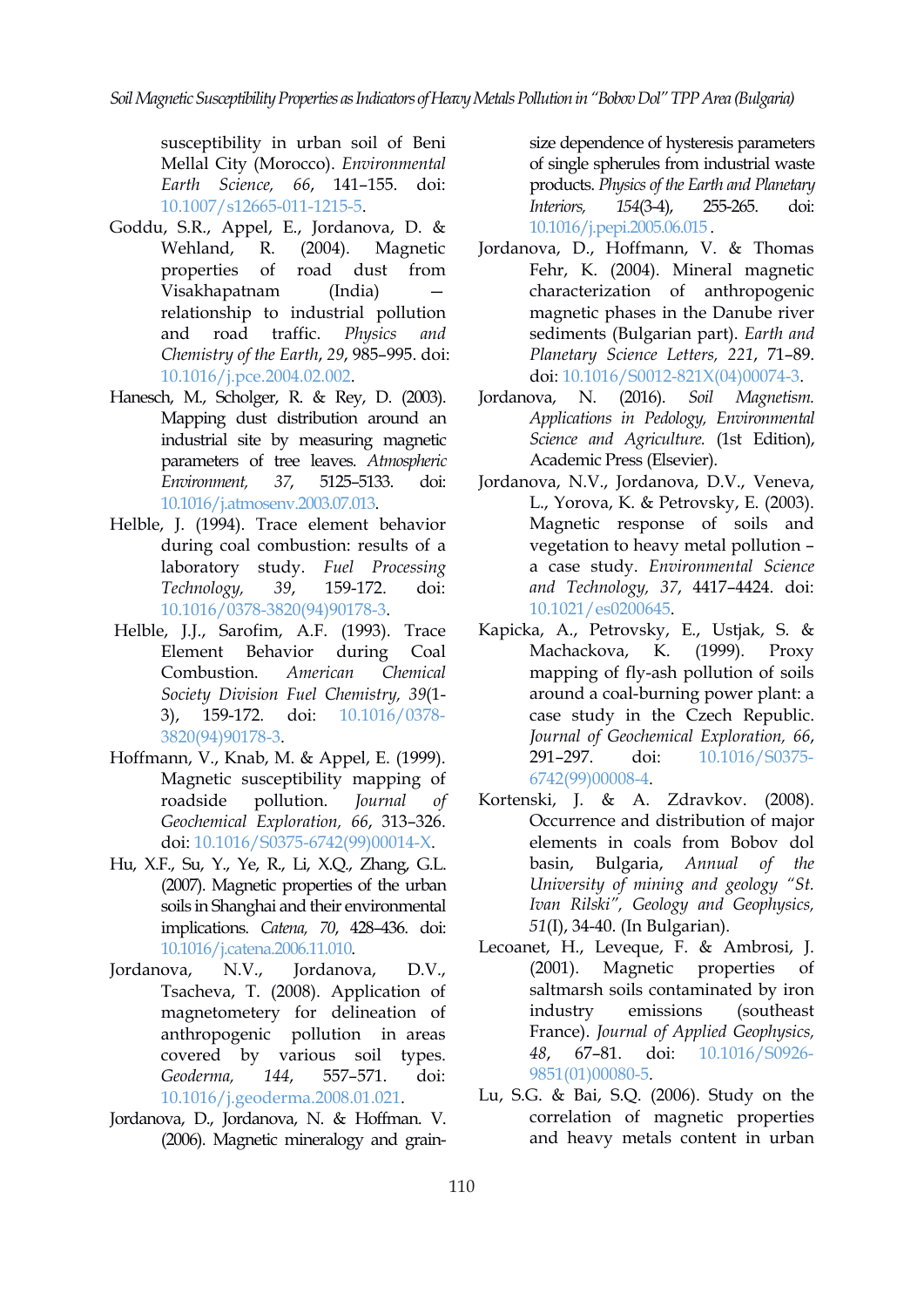susceptibility in urban soil of Beni Mellal City (Morocco). *Environmental Earth Science, 66*, 141–155. doi: [10.1007/s12665-011-1215-5](https://doi.org/10.1007/s12665-011-1215-5).

- Goddu, S.R., Appel, E., Jordanova, D. & relationship to industrial pollution and road traffic. *Physics and Chemistry of the Earth*, *29*, 985–995. doi: [10.1016/j.pce.2004.02.002](https://doi.org/10.1016/j.pce.2004.02.002).
- Hanesch, M., Scholger, R. & Rey, D. (2[003](https://orcid.org/0000-0002-2347-8029)). Jordanova, N. (2016). Mapping dust distribution around an industrial site by measuring magnetic parameters of tree leaves. *Atmospheric Environment, 37*, 5125–5133. doi: [10.1016/j.atmosenv.2003.07.013.](https://doi.org/10.1016/j.atmosenv.2003.07.013)
- Helble, J. (1994). Trace element behavior during coal combustion: results of a laboratory study. *Fuel Processing Technology, 39*, 159-172. doi: [10.1016/0378-3820\(94\)90178-3.](https://doi.org/10.1016/0378-3820(94)90178-3)
- Helble, J.J., Sarofim, A.F. (1993). Trace Element Behavior during Coal Combustion. *American Chemical Society Division Fuel Chemistry, 39*(1- 3), 159-172. doi: [10.1016/0378-](https://doi.org/10.1016/0378-3820(94)90178-3) 3820(94)90178-3.
- Hoffmann, V., Knab, M. & Appel, E. (1999). Magnetic susceptibility mapping of roadside pollution. *Journal of Geochemical Exploration, 66*, 313–326. doi: [10.1016/S0375-6742\(99\)00014-X.](https://doi.org/10.1016/S0375-6742(99)00014-X)
- Hu, X.F., Su, Y., Ye, R., Li, X.Q., Zhang, G.L. (2007). Magnetic properties of the urban soils in Shanghai and their environmental implications. *Catena, 70*, 428–436. doi: [10.1016/j.catena.2006.11.010](https://doi.org/10.1016/j.catena.2006.11.010).
- Jordanova, N.V., Jordanova, D.V., Tsacheva, T. (2008). Application of magnetometery for delineation of anthropogenic pollution in areas covered by various soil types. *Geoderma, 144*, 557–571. doi: [10.1016/j.geoderma.2008.01.021](https://doi.org/10.1016/j.geoderma.2008.01.021).
- Jordanova, D., Jordanova, N. & Hoffman. V. (2006). Magnetic mineralogy and grain-

size dependence of hysteresis parameters of single spherules from industrial waste products. *Physics of the Earth and Planetary Interiors, 154*(3-4), 255-265. doi: [10.1016/j.pepi.2005.06.015](https://doi.org/10.1016/j.pepi.2005.06.015
) .

- Wehland, R. (2004). Magnetic Jordanova, D., Hoffmann, V. & Thomas properties of road dust from Fehr, K. (2004). Mineral magnetic Visakhapatnam (India) — characterization of anthropogenic magnetic phases in the Danube river sediments (Bulgarian part). *Earth and Planetary Science Letters, 221*, 71–89. doi: [10.1016/S0012-821X\(04\)00074-3](https://doi.org/10.1016/S0012-821X(04)00074-3).
	- Jordanova, N. (2016). *Soil Magnetism. Applications in Pedology, Environmental Science and Agriculture.* (1st Edition), Academic Press (Elsevier).
	- Jordanova, N.V., Jordanova, D.V., Veneva, L., Yorova, K. & Petrovsky, E. (2003). Magnetic response of soils and vegetation to heavy metal pollution – a case study. *Environmental Science and Technology, 37*, 4417–4424. doi: [10.1021/es0200645](https://doi.org/10.1021/es0200645).
	- Kapicka, A., Petrovsky, E., Ustjak, S. & K. (1999). Proxy mapping of fly-ash pollution of soils around a coal-burning power plant: a case study in the Czech Republic. *Journal of Geochemical Exploration, 66*, doi: [10.1016/S0375-](https://doi.org/10.1016/S0375-6742(99)00008-4) 6742(99)00008-4.
	- Kortenski, J. & A. Zdravkov. (2008). Occurrence and distribution of major elements in coals from Bobov dol basin, Bulgaria, *Annual of the University of mining and geology "St. Ivan Rilski", Geology and Geophysics, 51*(I), 34-40. (In Bulgarian).
	- Lecoanet, H., Leveque, F. & Ambrosi, J. (2001). Magnetic properties of saltmarsh soils contaminated by iron emissions (southeast) France). *Journal of Applied Geophysics, 48*, 67–81. doi: [10.1016/S0926-](https://doi.org/10.1016/S0926-9851(01)00080-5) 9851(01)00080-5.
	- Lu, S.G. & Bai, S.Q. (2006). Study on the correlation of magnetic properties and heavy metals content in urban